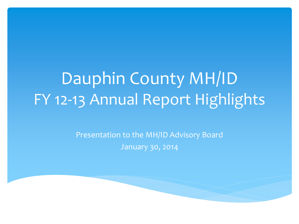# Dauphin County MH/ID FY 12-13 Annual Report Highlights

Presentation to the MH/ID Advisory Board January 30, 2014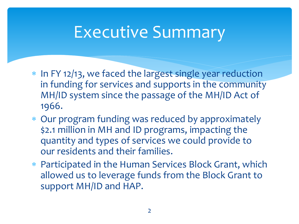### Executive Summary

- \* In FY 12/13, we faced the largest single year reduction in funding for services and supports in the community MH/ID system since the passage of the MH/ID Act of 1966.
- Our program funding was reduced by approximately \$2.1 million in MH and ID programs, impacting the quantity and types of services we could provide to our residents and their families.
- Participated in the Human Services Block Grant, which allowed us to leverage funds from the Block Grant to support MH/ID and HAP.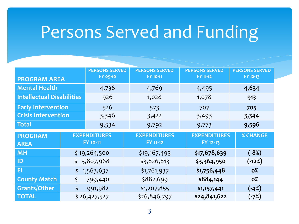# Persons Served and Funding

| <b>PERSONS SERVED</b><br><b>FY 09-10</b><br><b>PROGRAM AREA</b> |                                         | <b>PERSONS SERVED</b><br>FY 10-11      | <b>PERSONS SERVED</b><br>FY 11-12      | <b>PERSONS SERVED</b><br>FY 12-13 |                 |
|-----------------------------------------------------------------|-----------------------------------------|----------------------------------------|----------------------------------------|-----------------------------------|-----------------|
| <b>Mental Health</b>                                            |                                         | 4,736                                  | 4,769                                  | 4,495                             | 4,634           |
|                                                                 | <b>Intellectual Disabilities</b><br>926 |                                        | 1,028                                  | 1,078                             | 913             |
| <b>Early Intervention</b>                                       | 526                                     |                                        | 573                                    | 707                               | 705             |
| <b>Crisis Intervention</b>                                      | 3,346                                   |                                        | 3,422                                  | 3,493                             | 3,344           |
| <b>Total</b>                                                    | 9,534                                   |                                        | 9,792                                  | 9,773                             | 9,596           |
| <b>PROGRAM</b><br><b>AREA</b>                                   |                                         | <b>EXPENDITURES</b><br><b>FY 10-11</b> | <b>EXPENDITURES</b><br><b>FY 11-12</b> | <b>EXPENDITURES</b><br>FY 12-13   | <b>% CHANGE</b> |
| <b>MH</b>                                                       | \$19,264,500                            |                                        | \$19,167,493                           | \$17,678,639                      | $(-8%)$         |
| ID                                                              | 3,807,968<br>\$                         |                                        | \$3,826,813                            | \$3,364,950                       | $(-12%)$        |
| EI                                                              | \$1,563,637                             |                                        | \$1,761,937                            | \$1,756,448                       | $0\%$           |
| <b>County Match</b>                                             | \$                                      | 799,440                                | \$882,699                              | \$884,144                         | $0\%$           |
| <b>Grants/Other</b>                                             | $\zeta$                                 | 991,982                                | \$1,207,855                            | \$1,157,441                       | $(-4%)$         |
| <b>TOTAL</b>                                                    |                                         | \$26,427,527                           | \$26,846,797                           | \$24,841,622                      | $(-7%)$         |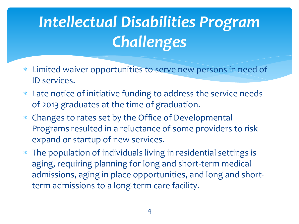# *Intellectual Disabilities Program Challenges*

- Limited waiver opportunities to serve new persons in need of ID services.
- Late notice of initiative funding to address the service needs of 2013 graduates at the time of graduation.
- Changes to rates set by the Office of Developmental Programs resulted in a reluctance of some providers to risk expand or startup of new services.
- The population of individuals living in residential settings is aging, requiring planning for long and short-term medical admissions, aging in place opportunities, and long and shortterm admissions to a long-term care facility.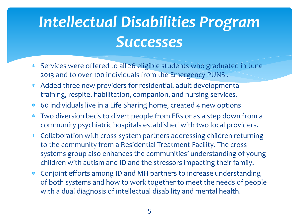# *Intellectual Disabilities Program Successes*

- Services were offered to all 26 eligible students who graduated in June 2013 and to over 100 individuals from the Emergency PUNS .
- Added three new providers for residential, adult developmental training, respite, habilitation, companion, and nursing services.
- 60 individuals live in a Life Sharing home, created 4 new options.
- Two diversion beds to divert people from ERs or as a step down from a community psychiatric hospitals established with two local providers.
- Collaboration with cross-system partners addressing children returning to the community from a Residential Treatment Facility. The crosssystems group also enhances the communities' understanding of young children with autism and ID and the stressors impacting their family.
- Conjoint efforts among ID and MH partners to increase understanding of both systems and how to work together to meet the needs of people with a dual diagnosis of intellectual disability and mental health.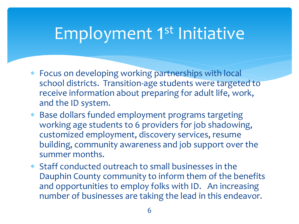# Employment 1 st Initiative

- Focus on developing working partnerships with local school districts. Transition-age students were targeted to receive information about preparing for adult life, work, and the ID system.
- Base dollars funded employment programs targeting working age students to 6 providers for job shadowing, customized employment, discovery services, resume building, community awareness and job support over the summer months.
- Staff conducted outreach to small businesses in the Dauphin County community to inform them of the benefits and opportunities to employ folks with ID. An increasing number of businesses are taking the lead in this endeavor.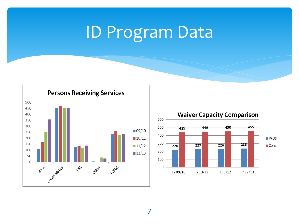# ID Program Data



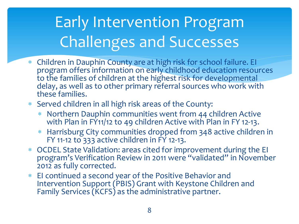# Early Intervention Program Challenges and Successes

 Children in Dauphin County are at high risk for school failure. EI program offers information on early childhood education resources to the families of children at the highest risk for developmental delay, as well as to other primary referral sources who work with these families.

#### Served children in all high risk areas of the County:

- Northern Dauphin communities went from 44 children Active with Plan in FY11/12 to 49 children Active with Plan in FY 12-13.
- Harrisburg City communities dropped from 348 active children in FY 11-12 to  $333$  active children in FY 12-13.
- OCDEL State Validation: areas cited for improvement during the EI program's Verification Review in 2011 were "validated" in November 2012 as fully corrected.
- EI continued a second year of the Positive Behavior and Intervention Support (PBIS) Grant with Keystone Children and Family Services (KCFS) as the administrative partner.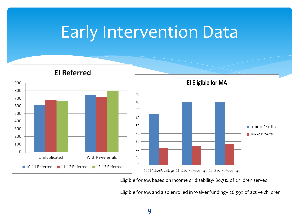### Early Intervention Data



Eligible for MA based on income or disability- 80.71% of children served

Eligible for MA and also enrolled in Waiver funding-- 26.59% of active children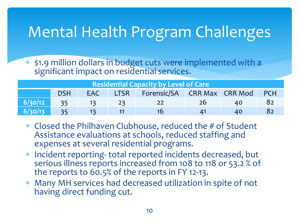### Mental Health Program Challenges

\* \$1.9 million dollars in budget cuts were implemented with a significant impact on residential services.

| Residential Capacity by Level of Care |            |      |        |                             |    |    |            |
|---------------------------------------|------------|------|--------|-----------------------------|----|----|------------|
|                                       | <b>DSH</b> | EAC. | LTSR 1 | Forensic/SA CRR Max CRR Mod |    |    | <b>PCH</b> |
| 6/30/12                               | 35         |      | 23     | 22                          | 26 | 40 |            |
| 6/30/13                               | 35         |      |        | 16                          | 41 | 40 |            |

- \* Closed the Philhaven Clubhouse, reduced the # of Student Assistance evaluations at schools, reduced staffing and expenses at several residential programs.
- \* Incident reporting- total reported incidents decreased, but serious illness reports increased from 108 to 118 or 53.2 % of the reports to 60.5% of the reports in FY 12-13.
- Many MH services had decreased utilization in spite of not having direct funding cut.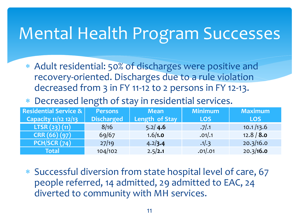# Mental Health Program Successes

- Adult residential: 50% of discharges were positive and recovery-oriented. Discharges due to a rule violation decreased from 3 in FY 11-12 to 2 persons in FY 12-13.
- Decreased length of stay in residential services.

| <b>Residential Service &amp;</b> | <b>Persons</b>    | <b>Mean</b>    | <b>Minimum</b> | <b>Maximum</b> |
|----------------------------------|-------------------|----------------|----------------|----------------|
| Capacity 11/12 12/13             | <b>Discharged</b> | Length of Stay | <b>LOS</b>     | <b>LOS</b>     |
| LTSR(23)(11)                     | 8/16              | 5.2/4.6        | .7/.1          | 10.1 / 13.6    |
| CRR(66)(97)                      | 69/67             | 1.6/1.0        | .01/.1         | 12.8 / 8.0     |
| <b>PCH/SCR (74)</b>              | 27/19             | 4.2/3.4        | .1/.3          | 20.3/16.0      |
| <b>Total</b>                     | 104/102           | 2.5/2.1        | .01/.01        | 20.3/16.0      |

 Successful diversion from state hospital level of care, 67 people referred, 14 admitted, 29 admitted to EAC, 24 diverted to community with MH services.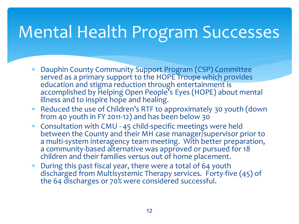# Mental Health Program Successes

- Dauphin County Community Support Program (CSP) Committee served as a primary support to the HOPE Troupe which provides education and stigma reduction through entertainment is accomplished by Helping Open People's Eyes (HOPE) about mental illness and to inspire hope and healing.
- Reduced the use of Children's RTF to approximately 30 youth (down from 40 youth in FY 2011-12) and has been below 30
- Consultation with CMU 45 child-specific meetings were held between the County and their MH case manager/supervisor prior to a multi-system interagency team meeting. With better preparation, a community-based alternative was approved or pursued for 18 children and their families versus out of home placement.
- During this past fiscal year, there were a total of 64 youth discharged from Multisystemic Therapy services. Forty-five (45) of the 64 discharges or 70% were considered successful.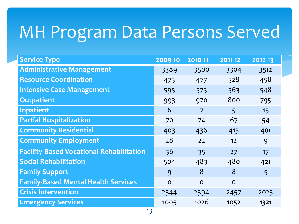# MH Program Data Persons Served

| <b>Service Type</b>                             | 2009-10        | 2010-11        | 2011-12        | 2012-13 |
|-------------------------------------------------|----------------|----------------|----------------|---------|
| <b>Administrative Management</b>                | 3389           | 3500           | 3304           | 3512    |
| <b>Resource Coordination</b>                    | 475            | 477            | 528            | 458     |
| <b>Intensive Case Management</b>                | 595            | 575            | 563            | 548     |
| <b>Outpatient</b>                               | 993            | 970            | 800            | 795     |
| Inpatient                                       | 6              | 7              | 5              | 15      |
| <b>Partial Hospitalization</b>                  | 70             | 74             | 67             | 54      |
| <b>Community Residential</b>                    | 403            | 436            | 413            | 401     |
| <b>Community Employment</b>                     | 28             | 22             | 12             | 9       |
| <b>Facility-Based Vocational Rehabilitation</b> | 36             | 35             | 27             | 17      |
| <b>Social Rehabilitation</b>                    | 504            | 483            | 480            | 421     |
| <b>Family Support</b>                           | 9              | 8              | 8              | 5       |
| <b>Family-Based Mental Health Services</b>      | $\overline{O}$ | $\overline{O}$ | $\overline{O}$ | 1       |
| <b>Crisis Intervention</b>                      | 2344           | 2394           | 2457           | 2023    |
| <b>Emergency Services</b>                       | 1005           | 1026           | 1052           | 1321    |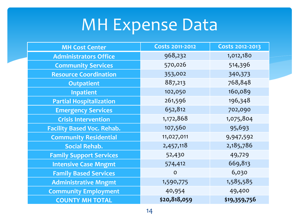# MH Expense Data

| <b>MH Cost Center</b>             | <b>Costs 2011-2012</b> | Costs 2012-2013 |
|-----------------------------------|------------------------|-----------------|
| <b>Administrators Office</b>      | 968,232                | 1,012,180       |
| <b>Community Services</b>         | 570,026                | 514,396         |
| <b>Resource Coordination</b>      | 353,002                | 340,373         |
| <b>Outpatient</b>                 | 887,213                | 768,848         |
| <b>Inpatient</b>                  | 102,050                | 160,089         |
| <b>Partial Hospitalization</b>    | 261,596                | 196,348         |
| <b>Emergency Services</b>         | 652,812                | 702,090         |
| <b>Crisis Intervention</b>        | 1,172,868              | 1,075,804       |
| <b>Facility Based Voc. Rehab.</b> | 107,560                | 95,693          |
| <b>Community Residential</b>      | 11,027,011             | 9,947,592       |
| <b>Social Rehab.</b>              | 2,457,118              | 2,185,786       |
| <b>Family Support Services</b>    | 52,430                 | 49,729          |
| <b>Intensive Case Mngmt</b>       | 574,412                | 669,813         |
| <b>Family Based Services</b>      | $\mathbf O$            | 6,030           |
| <b>Administrative Mngmt</b>       | 1,590,775              | 1,585,585       |
| <b>Community Employment</b>       | 40,954                 | 49,400          |
| <b>COUNTY MH TOTAL</b>            | \$20,818,059           | \$19,359,756    |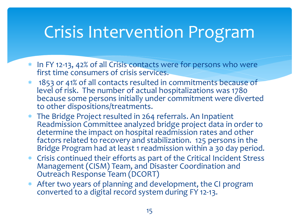# Crisis Intervention Program

- In FY 12-13, 42% of all Crisis contacts were for persons who were first time consumers of crisis services.
- \* 1853 or 41% of all contacts resulted in commitments because of level of risk. The number of actual hospitalizations was 1780 because some persons initially under commitment were diverted to other dispositions/treatments.
- The Bridge Project resulted in 264 referrals. An Inpatient Readmission Committee analyzed bridge project data in order to determine the impact on hospital readmission rates and other factors related to recovery and stabilization. 125 persons in the Bridge Program had at least 1 readmission within a 30 day period.
- Crisis continued their efforts as part of the Critical Incident Stress Management (CISM) Team, and Disaster Coordination and Outreach Response Team (DCORT)
- After two years of planning and development, the CI program converted to a digital record system during FY 12-13.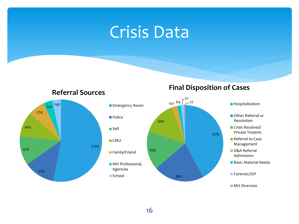### Crisis Data



#### **Referral Sources**



#### **Final Disposition of Cases**



902

101<sup>64</sup>

51 22